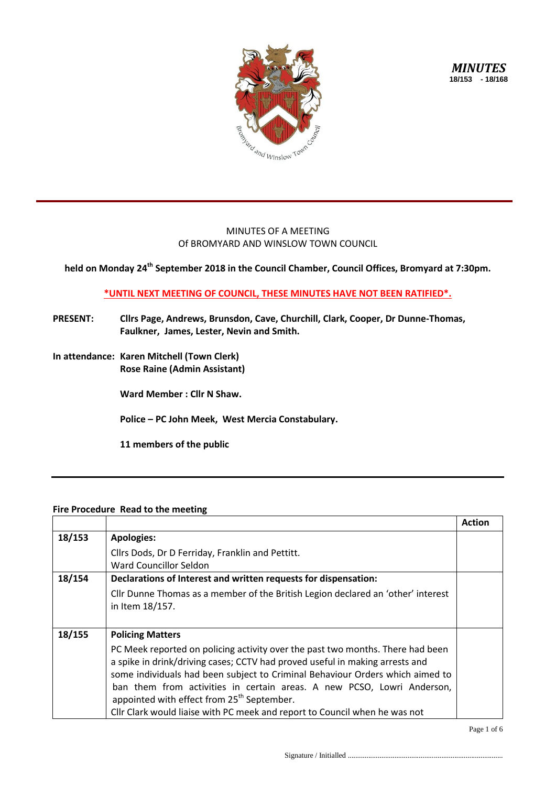

*MINUTES* **18/153 - 18/168**

## MINUTES OF A MEETING Of BROMYARD AND WINSLOW TOWN COUNCIL

**held on Monday 24th September 2018 in the Council Chamber, Council Offices, Bromyard at 7:30pm.**

## **\*UNTIL NEXT MEETING OF COUNCIL, THESE MINUTES HAVE NOT BEEN RATIFIED\*.**

- **PRESENT: Cllrs Page, Andrews, Brunsdon, Cave, Churchill, Clark, Cooper, Dr Dunne-Thomas, Faulkner, James, Lester, Nevin and Smith.**
- **In attendance: Karen Mitchell (Town Clerk) Rose Raine (Admin Assistant)**

**Ward Member : Cllr N Shaw.**

**Police – PC John Meek, West Mercia Constabulary.**

**11 members of the public**

## **Fire Procedure Read to the meeting**

|        |                                                                                                                                                                                                                                                                                                                                                                                                                                                                   | <b>Action</b> |
|--------|-------------------------------------------------------------------------------------------------------------------------------------------------------------------------------------------------------------------------------------------------------------------------------------------------------------------------------------------------------------------------------------------------------------------------------------------------------------------|---------------|
| 18/153 | <b>Apologies:</b>                                                                                                                                                                                                                                                                                                                                                                                                                                                 |               |
|        | Cllrs Dods, Dr D Ferriday, Franklin and Pettitt.<br>Ward Councillor Seldon                                                                                                                                                                                                                                                                                                                                                                                        |               |
| 18/154 | Declarations of Interest and written requests for dispensation:                                                                                                                                                                                                                                                                                                                                                                                                   |               |
|        | Cllr Dunne Thomas as a member of the British Legion declared an 'other' interest<br>in Item 18/157.                                                                                                                                                                                                                                                                                                                                                               |               |
| 18/155 | <b>Policing Matters</b>                                                                                                                                                                                                                                                                                                                                                                                                                                           |               |
|        | PC Meek reported on policing activity over the past two months. There had been<br>a spike in drink/driving cases; CCTV had proved useful in making arrests and<br>some individuals had been subject to Criminal Behaviour Orders which aimed to<br>ban them from activities in certain areas. A new PCSO, Lowri Anderson,<br>appointed with effect from 25 <sup>th</sup> September.<br>Cllr Clark would liaise with PC meek and report to Council when he was not |               |

Page 1 of 6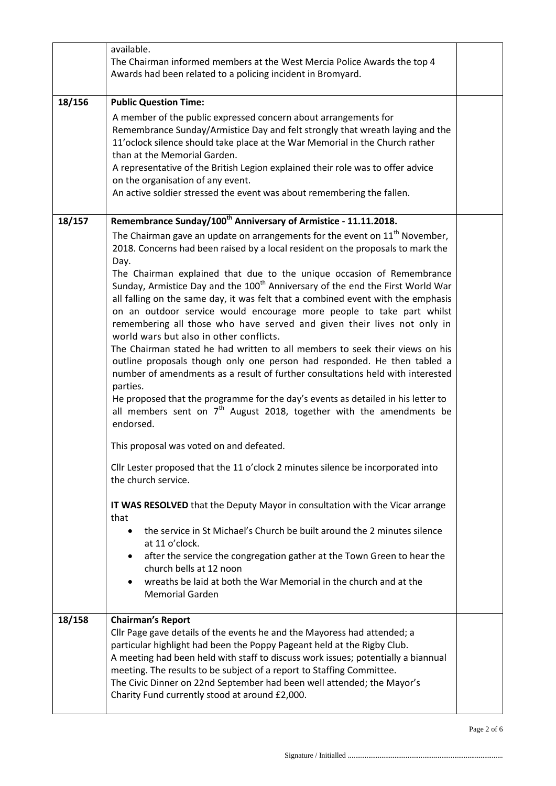|        | available.                                                                                                                                                                                                                                                                                                                                                                                                                                                                |  |
|--------|---------------------------------------------------------------------------------------------------------------------------------------------------------------------------------------------------------------------------------------------------------------------------------------------------------------------------------------------------------------------------------------------------------------------------------------------------------------------------|--|
|        | The Chairman informed members at the West Mercia Police Awards the top 4                                                                                                                                                                                                                                                                                                                                                                                                  |  |
|        | Awards had been related to a policing incident in Bromyard.                                                                                                                                                                                                                                                                                                                                                                                                               |  |
| 18/156 | <b>Public Question Time:</b>                                                                                                                                                                                                                                                                                                                                                                                                                                              |  |
|        | A member of the public expressed concern about arrangements for<br>Remembrance Sunday/Armistice Day and felt strongly that wreath laying and the<br>11'oclock silence should take place at the War Memorial in the Church rather<br>than at the Memorial Garden.<br>A representative of the British Legion explained their role was to offer advice<br>on the organisation of any event.<br>An active soldier stressed the event was about remembering the fallen.        |  |
| 18/157 | Remembrance Sunday/100 <sup>th</sup> Anniversary of Armistice - 11.11.2018.                                                                                                                                                                                                                                                                                                                                                                                               |  |
|        | The Chairman gave an update on arrangements for the event on $11th$ November,<br>2018. Concerns had been raised by a local resident on the proposals to mark the<br>Day.<br>The Chairman explained that due to the unique occasion of Remembrance<br>Sunday, Armistice Day and the 100 <sup>th</sup> Anniversary of the end the First World War<br>all falling on the same day, it was felt that a combined event with the emphasis                                       |  |
|        | on an outdoor service would encourage more people to take part whilst<br>remembering all those who have served and given their lives not only in<br>world wars but also in other conflicts.<br>The Chairman stated he had written to all members to seek their views on his<br>outline proposals though only one person had responded. He then tabled a<br>number of amendments as a result of further consultations held with interested<br>parties.                     |  |
|        | He proposed that the programme for the day's events as detailed in his letter to<br>all members sent on $7th$ August 2018, together with the amendments be<br>endorsed.                                                                                                                                                                                                                                                                                                   |  |
|        | This proposal was voted on and defeated.                                                                                                                                                                                                                                                                                                                                                                                                                                  |  |
|        | Cllr Lester proposed that the 11 o'clock 2 minutes silence be incorporated into<br>the church service.                                                                                                                                                                                                                                                                                                                                                                    |  |
|        | IT WAS RESOLVED that the Deputy Mayor in consultation with the Vicar arrange<br>that                                                                                                                                                                                                                                                                                                                                                                                      |  |
|        | the service in St Michael's Church be built around the 2 minutes silence<br>at 11 o'clock.                                                                                                                                                                                                                                                                                                                                                                                |  |
|        | after the service the congregation gather at the Town Green to hear the<br>church bells at 12 noon                                                                                                                                                                                                                                                                                                                                                                        |  |
|        | wreaths be laid at both the War Memorial in the church and at the<br><b>Memorial Garden</b>                                                                                                                                                                                                                                                                                                                                                                               |  |
| 18/158 | <b>Chairman's Report</b><br>Cllr Page gave details of the events he and the Mayoress had attended; a<br>particular highlight had been the Poppy Pageant held at the Rigby Club.<br>A meeting had been held with staff to discuss work issues; potentially a biannual<br>meeting. The results to be subject of a report to Staffing Committee.<br>The Civic Dinner on 22nd September had been well attended; the Mayor's<br>Charity Fund currently stood at around £2,000. |  |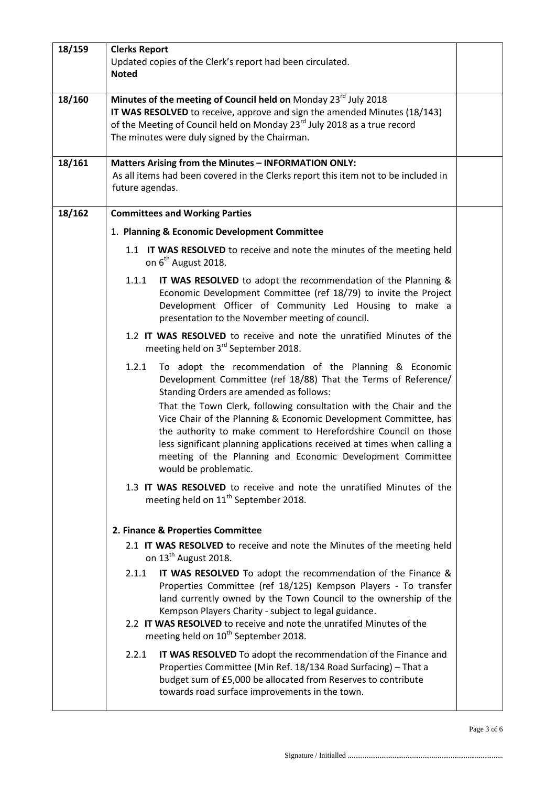| 18/159 | <b>Clerks Report</b><br>Updated copies of the Clerk's report had been circulated.<br><b>Noted</b>                                                                                                                                                                                                                                                                                                                                                                                                                                                           |  |
|--------|-------------------------------------------------------------------------------------------------------------------------------------------------------------------------------------------------------------------------------------------------------------------------------------------------------------------------------------------------------------------------------------------------------------------------------------------------------------------------------------------------------------------------------------------------------------|--|
| 18/160 | Minutes of the meeting of Council held on Monday 23rd July 2018<br>IT WAS RESOLVED to receive, approve and sign the amended Minutes (18/143)<br>of the Meeting of Council held on Monday 23 <sup>rd</sup> July 2018 as a true record<br>The minutes were duly signed by the Chairman.                                                                                                                                                                                                                                                                       |  |
| 18/161 | Matters Arising from the Minutes - INFORMATION ONLY:<br>As all items had been covered in the Clerks report this item not to be included in<br>future agendas.                                                                                                                                                                                                                                                                                                                                                                                               |  |
| 18/162 | <b>Committees and Working Parties</b>                                                                                                                                                                                                                                                                                                                                                                                                                                                                                                                       |  |
|        | 1. Planning & Economic Development Committee                                                                                                                                                                                                                                                                                                                                                                                                                                                                                                                |  |
|        | 1.1 IT WAS RESOLVED to receive and note the minutes of the meeting held<br>on 6 <sup>th</sup> August 2018.                                                                                                                                                                                                                                                                                                                                                                                                                                                  |  |
|        | 1.1.1<br>IT WAS RESOLVED to adopt the recommendation of the Planning &<br>Economic Development Committee (ref 18/79) to invite the Project<br>Development Officer of Community Led Housing to make a<br>presentation to the November meeting of council.                                                                                                                                                                                                                                                                                                    |  |
|        | 1.2 IT WAS RESOLVED to receive and note the unratified Minutes of the<br>meeting held on 3rd September 2018.                                                                                                                                                                                                                                                                                                                                                                                                                                                |  |
|        | To adopt the recommendation of the Planning & Economic<br>1.2.1<br>Development Committee (ref 18/88) That the Terms of Reference/<br>Standing Orders are amended as follows:<br>That the Town Clerk, following consultation with the Chair and the<br>Vice Chair of the Planning & Economic Development Committee, has<br>the authority to make comment to Herefordshire Council on those<br>less significant planning applications received at times when calling a<br>meeting of the Planning and Economic Development Committee<br>would be problematic. |  |
|        | 1.3 IT WAS RESOLVED to receive and note the unratified Minutes of the<br>meeting held on 11 <sup>th</sup> September 2018.                                                                                                                                                                                                                                                                                                                                                                                                                                   |  |
|        | 2. Finance & Properties Committee                                                                                                                                                                                                                                                                                                                                                                                                                                                                                                                           |  |
|        | 2.1 IT WAS RESOLVED to receive and note the Minutes of the meeting held<br>on 13 <sup>th</sup> August 2018.                                                                                                                                                                                                                                                                                                                                                                                                                                                 |  |
|        | 2.1.1<br>IT WAS RESOLVED To adopt the recommendation of the Finance &<br>Properties Committee (ref 18/125) Kempson Players - To transfer<br>land currently owned by the Town Council to the ownership of the<br>Kempson Players Charity - subject to legal guidance.<br>2.2 IT WAS RESOLVED to receive and note the unratifed Minutes of the<br>meeting held on 10 <sup>th</sup> September 2018.                                                                                                                                                            |  |
|        | 2.2.1<br>IT WAS RESOLVED To adopt the recommendation of the Finance and<br>Properties Committee (Min Ref. 18/134 Road Surfacing) - That a<br>budget sum of £5,000 be allocated from Reserves to contribute<br>towards road surface improvements in the town.                                                                                                                                                                                                                                                                                                |  |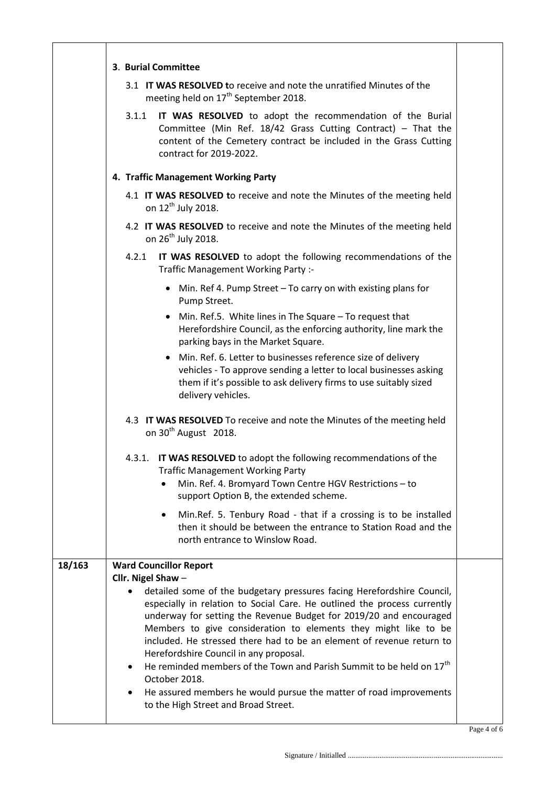| 3. Burial Committee<br>3.1 IT WAS RESOLVED to receive and note the unratified Minutes of the<br>meeting held on 17 <sup>th</sup> September 2018.<br>IT WAS RESOLVED to adopt the recommendation of the Burial<br>3.1.1<br>Committee (Min Ref. $18/42$ Grass Cutting Contract) - That the<br>content of the Cemetery contract be included in the Grass Cutting<br>contract for 2019-2022.<br>4. Traffic Management Working Party<br>4.1 IT WAS RESOLVED to receive and note the Minutes of the meeting held<br>on 12 <sup>th</sup> July 2018.<br>4.2 IT WAS RESOLVED to receive and note the Minutes of the meeting held<br>on 26 <sup>th</sup> July 2018.<br>4.2.1<br>IT WAS RESOLVED to adopt the following recommendations of the<br>Traffic Management Working Party :-<br>• Min. Ref 4. Pump Street - To carry on with existing plans for<br>Pump Street.<br>Min. Ref.5. White lines in The Square – To request that<br>Herefordshire Council, as the enforcing authority, line mark the<br>parking bays in the Market Square.<br>• Min. Ref. 6. Letter to businesses reference size of delivery<br>vehicles - To approve sending a letter to local businesses asking<br>them if it's possible to ask delivery firms to use suitably sized<br>delivery vehicles.<br>4.3 IT WAS RESOLVED To receive and note the Minutes of the meeting held<br>on 30 <sup>th</sup> August 2018.<br>IT WAS RESOLVED to adopt the following recommendations of the<br>4.3.1.<br><b>Traffic Management Working Party</b> |  |
|-----------------------------------------------------------------------------------------------------------------------------------------------------------------------------------------------------------------------------------------------------------------------------------------------------------------------------------------------------------------------------------------------------------------------------------------------------------------------------------------------------------------------------------------------------------------------------------------------------------------------------------------------------------------------------------------------------------------------------------------------------------------------------------------------------------------------------------------------------------------------------------------------------------------------------------------------------------------------------------------------------------------------------------------------------------------------------------------------------------------------------------------------------------------------------------------------------------------------------------------------------------------------------------------------------------------------------------------------------------------------------------------------------------------------------------------------------------------------------------------------------------|--|
|                                                                                                                                                                                                                                                                                                                                                                                                                                                                                                                                                                                                                                                                                                                                                                                                                                                                                                                                                                                                                                                                                                                                                                                                                                                                                                                                                                                                                                                                                                           |  |
|                                                                                                                                                                                                                                                                                                                                                                                                                                                                                                                                                                                                                                                                                                                                                                                                                                                                                                                                                                                                                                                                                                                                                                                                                                                                                                                                                                                                                                                                                                           |  |
|                                                                                                                                                                                                                                                                                                                                                                                                                                                                                                                                                                                                                                                                                                                                                                                                                                                                                                                                                                                                                                                                                                                                                                                                                                                                                                                                                                                                                                                                                                           |  |
|                                                                                                                                                                                                                                                                                                                                                                                                                                                                                                                                                                                                                                                                                                                                                                                                                                                                                                                                                                                                                                                                                                                                                                                                                                                                                                                                                                                                                                                                                                           |  |
|                                                                                                                                                                                                                                                                                                                                                                                                                                                                                                                                                                                                                                                                                                                                                                                                                                                                                                                                                                                                                                                                                                                                                                                                                                                                                                                                                                                                                                                                                                           |  |
|                                                                                                                                                                                                                                                                                                                                                                                                                                                                                                                                                                                                                                                                                                                                                                                                                                                                                                                                                                                                                                                                                                                                                                                                                                                                                                                                                                                                                                                                                                           |  |
|                                                                                                                                                                                                                                                                                                                                                                                                                                                                                                                                                                                                                                                                                                                                                                                                                                                                                                                                                                                                                                                                                                                                                                                                                                                                                                                                                                                                                                                                                                           |  |
|                                                                                                                                                                                                                                                                                                                                                                                                                                                                                                                                                                                                                                                                                                                                                                                                                                                                                                                                                                                                                                                                                                                                                                                                                                                                                                                                                                                                                                                                                                           |  |
|                                                                                                                                                                                                                                                                                                                                                                                                                                                                                                                                                                                                                                                                                                                                                                                                                                                                                                                                                                                                                                                                                                                                                                                                                                                                                                                                                                                                                                                                                                           |  |
|                                                                                                                                                                                                                                                                                                                                                                                                                                                                                                                                                                                                                                                                                                                                                                                                                                                                                                                                                                                                                                                                                                                                                                                                                                                                                                                                                                                                                                                                                                           |  |
|                                                                                                                                                                                                                                                                                                                                                                                                                                                                                                                                                                                                                                                                                                                                                                                                                                                                                                                                                                                                                                                                                                                                                                                                                                                                                                                                                                                                                                                                                                           |  |
| Min. Ref. 4. Bromyard Town Centre HGV Restrictions - to<br>support Option B, the extended scheme.                                                                                                                                                                                                                                                                                                                                                                                                                                                                                                                                                                                                                                                                                                                                                                                                                                                                                                                                                                                                                                                                                                                                                                                                                                                                                                                                                                                                         |  |
| Min.Ref. 5. Tenbury Road - that if a crossing is to be installed<br>٠<br>then it should be between the entrance to Station Road and the<br>north entrance to Winslow Road.                                                                                                                                                                                                                                                                                                                                                                                                                                                                                                                                                                                                                                                                                                                                                                                                                                                                                                                                                                                                                                                                                                                                                                                                                                                                                                                                |  |
| 18/163<br><b>Ward Councillor Report</b><br>Cllr. Nigel Shaw -                                                                                                                                                                                                                                                                                                                                                                                                                                                                                                                                                                                                                                                                                                                                                                                                                                                                                                                                                                                                                                                                                                                                                                                                                                                                                                                                                                                                                                             |  |
| detailed some of the budgetary pressures facing Herefordshire Council,<br>especially in relation to Social Care. He outlined the process currently<br>underway for setting the Revenue Budget for 2019/20 and encouraged<br>Members to give consideration to elements they might like to be<br>included. He stressed there had to be an element of revenue return to<br>Herefordshire Council in any proposal.<br>He reminded members of the Town and Parish Summit to be held on $17th$<br>$\bullet$<br>October 2018.<br>He assured members he would pursue the matter of road improvements<br>to the High Street and Broad Street.                                                                                                                                                                                                                                                                                                                                                                                                                                                                                                                                                                                                                                                                                                                                                                                                                                                                      |  |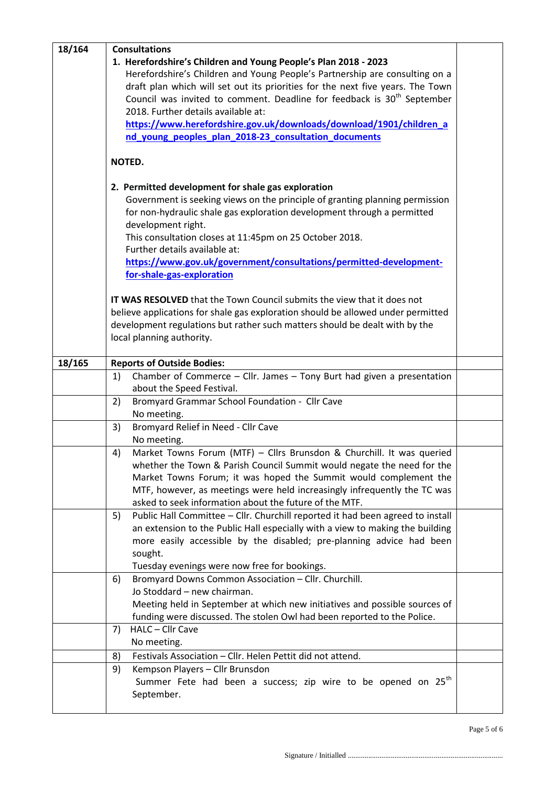| 18/164 | <b>Consultations</b>                                                                 |  |
|--------|--------------------------------------------------------------------------------------|--|
|        | 1. Herefordshire's Children and Young People's Plan 2018 - 2023                      |  |
|        | Herefordshire's Children and Young People's Partnership are consulting on a          |  |
|        | draft plan which will set out its priorities for the next five years. The Town       |  |
|        | Council was invited to comment. Deadline for feedback is 30 <sup>th</sup> September  |  |
|        | 2018. Further details available at:                                                  |  |
|        | https://www.herefordshire.gov.uk/downloads/download/1901/children_a                  |  |
|        | nd young peoples plan 2018-23 consultation documents                                 |  |
|        |                                                                                      |  |
|        | NOTED.                                                                               |  |
|        | 2. Permitted development for shale gas exploration                                   |  |
|        | Government is seeking views on the principle of granting planning permission         |  |
|        | for non-hydraulic shale gas exploration development through a permitted              |  |
|        | development right.                                                                   |  |
|        | This consultation closes at 11:45pm on 25 October 2018.                              |  |
|        | Further details available at:                                                        |  |
|        | https://www.gov.uk/government/consultations/permitted-development-                   |  |
|        | for-shale-gas-exploration                                                            |  |
|        | <b>IT WAS RESOLVED</b> that the Town Council submits the view that it does not       |  |
|        | believe applications for shale gas exploration should be allowed under permitted     |  |
|        | development regulations but rather such matters should be dealt with by the          |  |
|        | local planning authority.                                                            |  |
|        |                                                                                      |  |
| 18/165 | <b>Reports of Outside Bodies:</b>                                                    |  |
|        | Chamber of Commerce $-$ Cllr. James $-$ Tony Burt had given a presentation<br>1)     |  |
|        | about the Speed Festival.                                                            |  |
|        | Bromyard Grammar School Foundation - Cllr Cave<br>2)                                 |  |
|        | No meeting.                                                                          |  |
|        | Bromyard Relief in Need - Cllr Cave<br>3)                                            |  |
|        | No meeting.                                                                          |  |
|        | Market Towns Forum (MTF) - Cllrs Brunsdon & Churchill. It was queried<br>4)          |  |
|        | whether the Town & Parish Council Summit would negate the need for the               |  |
|        | Market Towns Forum; it was hoped the Summit would complement the                     |  |
|        | MTF, however, as meetings were held increasingly infrequently the TC was             |  |
|        | asked to seek information about the future of the MTF.                               |  |
|        | Public Hall Committee - Cllr. Churchill reported it had been agreed to install<br>5) |  |
|        | an extension to the Public Hall especially with a view to making the building        |  |
|        | more easily accessible by the disabled; pre-planning advice had been                 |  |
|        | sought.<br>Tuesday evenings were now free for bookings.                              |  |
|        | Bromyard Downs Common Association - Cllr. Churchill.<br>6)                           |  |
|        | Jo Stoddard - new chairman.                                                          |  |
|        | Meeting held in September at which new initiatives and possible sources of           |  |
|        | funding were discussed. The stolen Owl had been reported to the Police.              |  |
|        | HALC - Cllr Cave<br>7)                                                               |  |
|        | No meeting.                                                                          |  |
|        | Festivals Association - Cllr. Helen Pettit did not attend.<br>8)                     |  |
|        | Kempson Players - Cllr Brunsdon<br>9)                                                |  |
|        | Summer Fete had been a success; zip wire to be opened on 25 <sup>th</sup>            |  |
|        | September.                                                                           |  |
|        |                                                                                      |  |